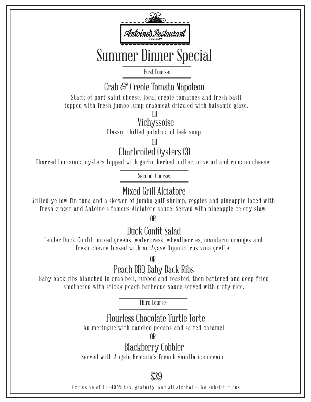

First Course:

# Crab & Creole Tomato Napoleon

Stack of port salut cheese, local creole tomatoes and fresh basil topped with fresh jumbo lump crabmeat drizzled with balsamic glaze.

OR

#### Vichyssoise

Classic chilled potato and leek soup.

OR

Charbroiled Oysters (3)

Charred Louisiana oysters topped with garlic herbed butter, olive oil and romano cheese.

Second Course:

## Mixed Grill Alciatore

Grilled yellow fin tuna and a skewer of jumbo gulf shrimp, veggies and pineapple laced with fresh ginger and Antoine's famous Alciatore sauce. Served with pineapple celery slaw.

OR

## Duck Confit Salad

Tender Duck Confit, mixed greens, watercress, wheatberries, mandarin oranges and fresh chevre tossed with an Agave Dijon citrus vinaigrette.

OR

# Peach BBQ Baby Back Ribs

Baby back ribs blanched in crab boil, rubbed and roasted, then battered and deep-fried smothered with sticky peach barbecue sauce served with dirty rice.

Third Course:

# Flourless Chocolate Turtle Torte

Au meringue with candied pecans and salted caramel.

OR

# Blackberry Cobbler

Served with Angelo Brocato's french vanilla ice cream.

\$39

Exclusive of 10.4495% tax, gratuity, a nd all alcohol -- No Substitutions